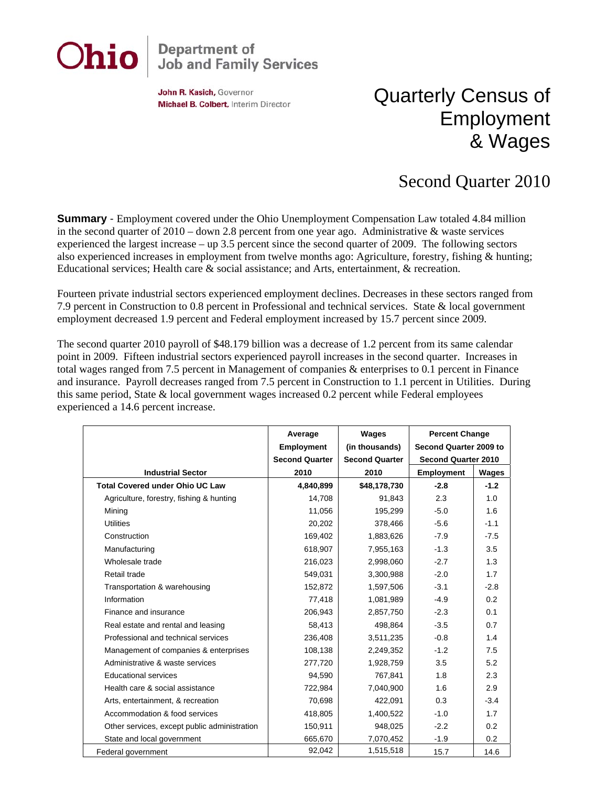

## **Department of<br>Job and Family Services**

John R. Kasich, Governor Michael B. Colbert, Interim Director

## Quarterly Census of Employment & Wages

## Second Quarter 2010

**Summary** - Employment covered under the Ohio Unemployment Compensation Law totaled 4.84 million in the second quarter of  $2010 -$  down 2.8 percent from one year ago. Administrative & waste services experienced the largest increase – up 3.5 percent since the second quarter of 2009. The following sectors also experienced increases in employment from twelve months ago: Agriculture, forestry, fishing & hunting; Educational services; Health care & social assistance; and Arts, entertainment, & recreation.

Fourteen private industrial sectors experienced employment declines. Decreases in these sectors ranged from 7.9 percent in Construction to 0.8 percent in Professional and technical services. State & local government employment decreased 1.9 percent and Federal employment increased by 15.7 percent since 2009.

The second quarter 2010 payroll of \$48.179 billion was a decrease of 1.2 percent from its same calendar point in 2009. Fifteen industrial sectors experienced payroll increases in the second quarter. Increases in total wages ranged from 7.5 percent in Management of companies & enterprises to 0.1 percent in Finance and insurance. Payroll decreases ranged from 7.5 percent in Construction to 1.1 percent in Utilities. During this same period, State & local government wages increased 0.2 percent while Federal employees experienced a 14.6 percent increase.

|                                              | Average               | Wages                 | <b>Percent Change</b>      |        |
|----------------------------------------------|-----------------------|-----------------------|----------------------------|--------|
|                                              | Employment            | (in thousands)        | Second Quarter 2009 to     |        |
|                                              | <b>Second Quarter</b> | <b>Second Quarter</b> | <b>Second Quarter 2010</b> |        |
| <b>Industrial Sector</b>                     | 2010                  | 2010                  | <b>Employment</b>          | Wages  |
| <b>Total Covered under Ohio UC Law</b>       | 4,840,899             | \$48,178,730          | $-2.8$                     | $-1.2$ |
| Agriculture, forestry, fishing & hunting     | 14,708                | 91,843                | 2.3                        | 1.0    |
| Mining                                       | 11.056                | 195,299               | $-5.0$                     | 1.6    |
| <b>Utilities</b>                             | 20,202                | 378,466               | $-5.6$                     | $-1.1$ |
| Construction                                 | 169,402               | 1,883,626             | $-7.9$                     | $-7.5$ |
| Manufacturing                                | 618,907               | 7,955,163             | $-1.3$                     | 3.5    |
| Wholesale trade                              | 216,023               | 2,998,060             | $-2.7$                     | 1.3    |
| Retail trade                                 | 549,031               | 3,300,988             | $-2.0$                     | 1.7    |
| Transportation & warehousing                 | 152,872               | 1,597,506             | $-3.1$                     | $-2.8$ |
| Information                                  | 77,418                | 1,081,989             | $-4.9$                     | 0.2    |
| Finance and insurance                        | 206,943               | 2,857,750             | $-2.3$                     | 0.1    |
| Real estate and rental and leasing           | 58,413                | 498,864               | $-3.5$                     | 0.7    |
| Professional and technical services          | 236,408               | 3,511,235             | $-0.8$                     | 1.4    |
| Management of companies & enterprises        | 108,138               | 2,249,352             | $-1.2$                     | 7.5    |
| Administrative & waste services              | 277,720               | 1,928,759             | 3.5                        | 5.2    |
| Educational services                         | 94,590                | 767,841               | 1.8                        | 2.3    |
| Health care & social assistance              | 722,984               | 7,040,900             | 1.6                        | 2.9    |
| Arts, entertainment, & recreation            | 70,698                | 422,091               | 0.3                        | $-3.4$ |
| Accommodation & food services                | 418,805               | 1,400,522             | $-1.0$                     | 1.7    |
| Other services, except public administration | 150,911               | 948,025               | $-2.2$                     | 0.2    |
| State and local government                   | 665,670               | 7,070,452             | $-1.9$                     | 0.2    |
| Federal government                           | 92,042                | 1,515,518             | 15.7                       | 14.6   |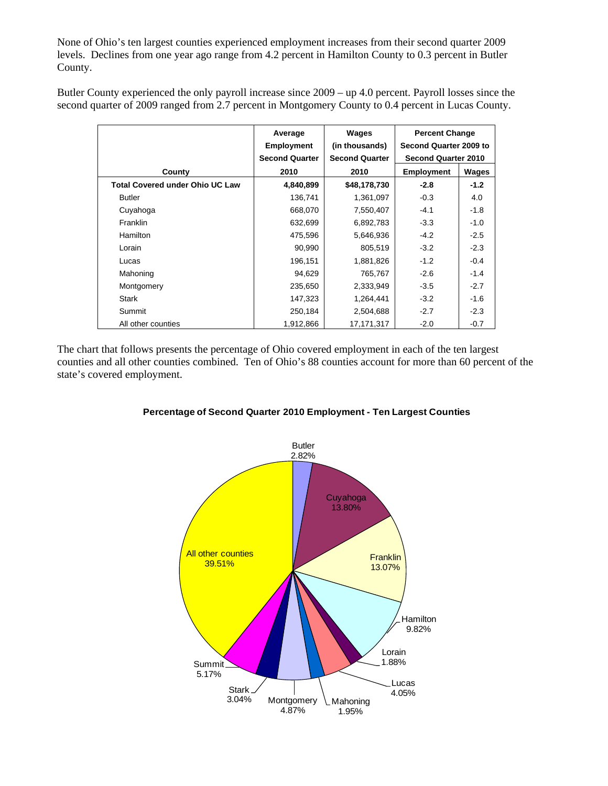None of Ohio's ten largest counties experienced employment increases from their second quarter 2009 levels. Declines from one year ago range from 4.2 percent in Hamilton County to 0.3 percent in Butler County.

Butler County experienced the only payroll increase since 2009 – up 4.0 percent. Payroll losses since the second quarter of 2009 ranged from 2.7 percent in Montgomery County to 0.4 percent in Lucas County.

|                                        | Average<br><b>Employment</b><br><b>Second Quarter</b> | Wages<br>(in thousands)<br><b>Second Quarter</b> | <b>Percent Change</b><br>Second Quarter 2009 to<br><b>Second Quarter 2010</b> |        |
|----------------------------------------|-------------------------------------------------------|--------------------------------------------------|-------------------------------------------------------------------------------|--------|
| County                                 | 2010                                                  | 2010                                             | <b>Employment</b>                                                             | Wages  |
| <b>Total Covered under Ohio UC Law</b> | 4,840,899                                             | \$48,178,730                                     | $-2.8$                                                                        | $-1.2$ |
| <b>Butler</b>                          | 136,741                                               | 1,361,097                                        | $-0.3$                                                                        | 4.0    |
| Cuyahoga                               | 668,070                                               | 7,550,407                                        | $-4.1$                                                                        | $-1.8$ |
| <b>Franklin</b>                        | 632,699                                               | 6,892,783                                        | $-3.3$                                                                        | $-1.0$ |
| <b>Hamilton</b>                        | 475,596                                               | 5,646,936                                        | $-4.2$                                                                        | $-2.5$ |
| Lorain                                 | 90,990                                                | 805,519                                          | $-3.2$                                                                        | $-2.3$ |
| Lucas                                  | 196,151                                               | 1,881,826                                        | $-1.2$                                                                        | $-0.4$ |
| Mahoning                               | 94,629                                                | 765,767                                          | $-2.6$                                                                        | $-1.4$ |
| Montgomery                             | 235,650                                               | 2,333,949                                        | $-3.5$                                                                        | $-2.7$ |
| Stark                                  | 147,323                                               | 1,264,441                                        | $-3.2$                                                                        | $-1.6$ |
| Summit                                 | 250,184                                               | 2,504,688                                        | $-2.7$                                                                        | $-2.3$ |
| All other counties                     | 1,912,866                                             | 17,171,317                                       | $-2.0$                                                                        | $-0.7$ |

The chart that follows presents the percentage of Ohio covered employment in each of the ten largest counties and all other counties combined. Ten of Ohio's 88 counties account for more than 60 percent of the state's covered employment.



## **Percentage of Second Quarter 2010 Employment - Ten Largest Counties**